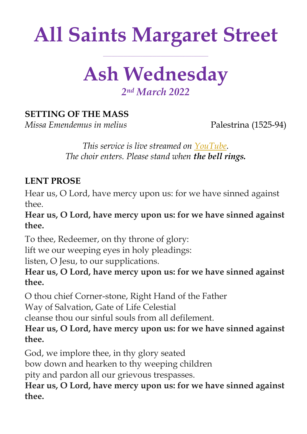# **All Saints Margaret Street**

**\_\_\_\_\_\_\_\_\_\_\_\_\_\_\_\_\_\_\_\_\_\_\_\_\_\_\_\_\_\_\_\_\_\_\_\_\_\_\_\_\_\_\_\_\_\_\_\_\_\_\_**

## **Ash Wednesday** *2 nd March 2022*

### **SETTING OF THE MASS**

*Missa Emendemus in melius* Palestrina (1525-94)

*This service is live streamed on [YouTube.](https://youtu.be/nq5toFcVTD8) The choir enters. Please stand when the bell rings.*

#### **LENT PROSE**

Hear us, O Lord, have mercy upon us: for we have sinned against thee.

**Hear us, O Lord, have mercy upon us: for we have sinned against thee.**

To thee, Redeemer, on thy throne of glory:

lift we our weeping eyes in holy pleadings:

listen, O Jesu, to our supplications.

**Hear us, O Lord, have mercy upon us: for we have sinned against thee.**

O thou chief Corner-stone, Right Hand of the Father

Way of Salvation, Gate of Life Celestial

cleanse thou our sinful souls from all defilement.

**Hear us, O Lord, have mercy upon us: for we have sinned against thee.**

God, we implore thee, in thy glory seated

bow down and hearken to thy weeping children

pity and pardon all our grievous trespasses.

**Hear us, O Lord, have mercy upon us: for we have sinned against thee.**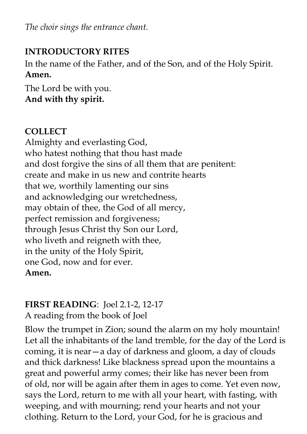*The choir sings the entrance chant.*

#### **INTRODUCTORY RITES**

In the name of the Father, and of the Son, and of the Holy Spirit. **Amen.**

The Lord be with you. **And with thy spirit.**

### **COLLECT**

Almighty and everlasting God, who hatest nothing that thou hast made and dost forgive the sins of all them that are penitent: create and make in us new and contrite hearts that we, worthily lamenting our sins and acknowledging our wretchedness, may obtain of thee, the God of all mercy, perfect remission and forgiveness; through Jesus Christ thy Son our Lord, who liveth and reigneth with thee, in the unity of the Holy Spirit, one God, now and for ever. **Amen.**

### **FIRST READING**: Joel 2.1-2, 12-17

A reading from the book of Joel

Blow the trumpet in Zion; sound the alarm on my holy mountain! Let all the inhabitants of the land tremble, for the day of the Lord is coming, it is near—a day of darkness and gloom, a day of clouds and thick darkness! Like blackness spread upon the mountains a great and powerful army comes; their like has never been from of old, nor will be again after them in ages to come. Yet even now, says the Lord, return to me with all your heart, with fasting, with weeping, and with mourning; rend your hearts and not your clothing. Return to the Lord, your God, for he is gracious and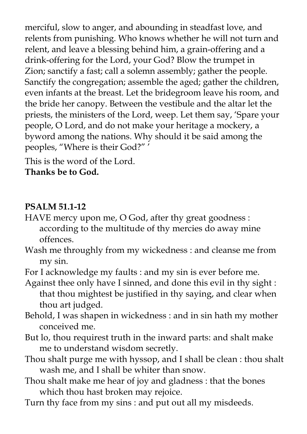merciful, slow to anger, and abounding in steadfast love, and relents from punishing. Who knows whether he will not turn and relent, and leave a blessing behind him, a grain-offering and a drink-offering for the Lord, your God? Blow the trumpet in Zion; sanctify a fast; call a solemn assembly; gather the people. Sanctify the congregation; assemble the aged; gather the children, even infants at the breast. Let the bridegroom leave his room, and the bride her canopy. Between the vestibule and the altar let the priests, the ministers of the Lord, weep. Let them say, 'Spare your people, O Lord, and do not make your heritage a mockery, a byword among the nations. Why should it be said among the peoples, "Where is their God?" '

This is the word of the Lord. **Thanks be to God.** 

#### **PSALM 51.1-12**

- HAVE mercy upon me, O God, after thy great goodness : according to the multitude of thy mercies do away mine offences.
- Wash me throughly from my wickedness : and cleanse me from my sin.
- For I acknowledge my faults : and my sin is ever before me.
- Against thee only have I sinned, and done this evil in thy sight : that thou mightest be justified in thy saying, and clear when thou art judged.
- Behold, I was shapen in wickedness : and in sin hath my mother conceived me.
- But lo, thou requirest truth in the inward parts: and shalt make me to understand wisdom secretly.
- Thou shalt purge me with hyssop, and I shall be clean : thou shalt wash me, and I shall be whiter than snow.
- Thou shalt make me hear of joy and gladness : that the bones which thou hast broken may rejoice.
- Turn thy face from my sins : and put out all my misdeeds.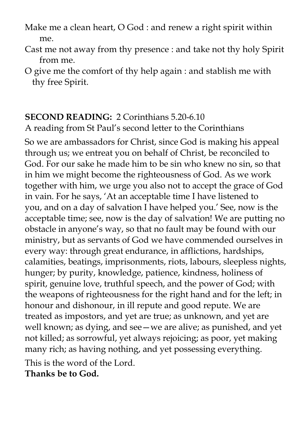- Make me a clean heart, O God : and renew a right spirit within me.
- Cast me not away from thy presence : and take not thy holy Spirit from me.
- O give me the comfort of thy help again : and stablish me with thy free Spirit.

#### **SECOND READING:** 2 Corinthians 5.20-6.10

A reading from St Paul's second letter to the Corinthians

So we are ambassadors for Christ, since God is making his appeal through us; we entreat you on behalf of Christ, be reconciled to God. For our sake he made him to be sin who knew no sin, so that in him we might become the righteousness of God. As we work together with him, we urge you also not to accept the grace of God in vain. For he says, 'At an acceptable time I have listened to you, and on a day of salvation I have helped you.' See, now is the acceptable time; see, now is the day of salvation! We are putting no obstacle in anyone's way, so that no fault may be found with our ministry, but as servants of God we have commended ourselves in every way: through great endurance, in afflictions, hardships, calamities, beatings, imprisonments, riots, labours, sleepless nights, hunger; by purity, knowledge, patience, kindness, holiness of spirit, genuine love, truthful speech, and the power of God; with the weapons of righteousness for the right hand and for the left; in honour and dishonour, in ill repute and good repute. We are treated as impostors, and yet are true; as unknown, and yet are well known; as dying, and see—we are alive; as punished, and yet not killed; as sorrowful, yet always rejoicing; as poor, yet making many rich; as having nothing, and yet possessing everything.

This is the word of the Lord. **Thanks be to God.**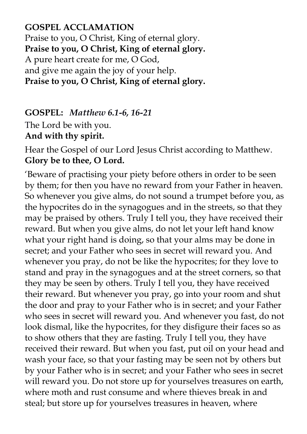**GOSPEL ACCLAMATION** Praise to you, O Christ, King of eternal glory. **Praise to you, O Christ, King of eternal glory.** A pure heart create for me, O God, and give me again the joy of your help. **Praise to you, O Christ, King of eternal glory.**

**GOSPEL:** *Matthew 6.1-6, 16-21* The Lord be with you.

**And with thy spirit.** 

Hear the Gospel of our Lord Jesus Christ according to Matthew. **Glory be to thee, O Lord.** 

'Beware of practising your piety before others in order to be seen by them; for then you have no reward from your Father in heaven. So whenever you give alms, do not sound a trumpet before you, as the hypocrites do in the synagogues and in the streets, so that they may be praised by others. Truly I tell you, they have received their reward. But when you give alms, do not let your left hand know what your right hand is doing, so that your alms may be done in secret; and your Father who sees in secret will reward you. And whenever you pray, do not be like the hypocrites; for they love to stand and pray in the synagogues and at the street corners, so that they may be seen by others. Truly I tell you, they have received their reward. But whenever you pray, go into your room and shut the door and pray to your Father who is in secret; and your Father who sees in secret will reward you. And whenever you fast, do not look dismal, like the hypocrites, for they disfigure their faces so as to show others that they are fasting. Truly I tell you, they have received their reward. But when you fast, put oil on your head and wash your face, so that your fasting may be seen not by others but by your Father who is in secret; and your Father who sees in secret will reward you. Do not store up for yourselves treasures on earth, where moth and rust consume and where thieves break in and steal; but store up for yourselves treasures in heaven, where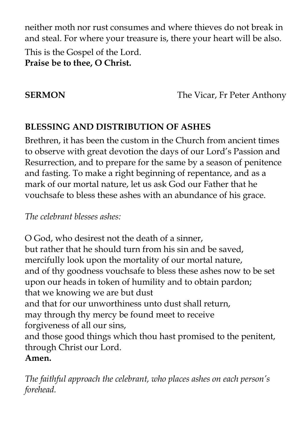neither moth nor rust consumes and where thieves do not break in and steal. For where your treasure is, there your heart will be also.

This is the Gospel of the Lord. **Praise be to thee, O Christ.**

**SERMON** The Vicar, Fr Peter Anthony

#### **BLESSING AND DISTRIBUTION OF ASHES**

Brethren, it has been the custom in the Church from ancient times to observe with great devotion the days of our Lord's Passion and Resurrection, and to prepare for the same by a season of penitence and fasting. To make a right beginning of repentance, and as a mark of our mortal nature, let us ask God our Father that he vouchsafe to bless these ashes with an abundance of his grace.

*The celebrant blesses ashes:*

O God, who desirest not the death of a sinner, but rather that he should turn from his sin and be saved, mercifully look upon the mortality of our mortal nature, and of thy goodness vouchsafe to bless these ashes now to be set upon our heads in token of humility and to obtain pardon; that we knowing we are but dust and that for our unworthiness unto dust shall return, may through thy mercy be found meet to receive forgiveness of all our sins, and those good things which thou hast promised to the penitent, through Christ our Lord. **Amen.**

*The faithful approach the celebrant, who places ashes on each person's forehead.*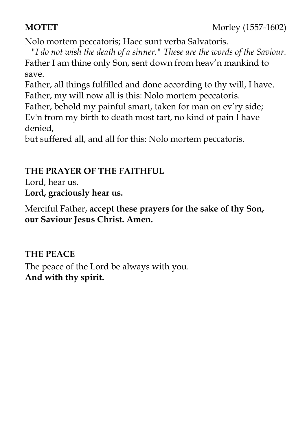#### **MOTET** Morley (1557-1602)

Nolo mortem peccatoris; Haec sunt verba Salvatoris.

*"I do not wish the death of a sinner." These are the words of the Saviour.* Father I am thine only Son, sent down from heav'n mankind to save.

Father, all things fulfilled and done according to thy will, I have. Father, my will now all is this: Nolo mortem peccatoris.

Father, behold my painful smart, taken for man on ev'ry side; Ev'n from my birth to death most tart, no kind of pain I have denied,

but suffered all, and all for this: Nolo mortem peccatoris.

#### **THE PRAYER OF THE FAITHFUL**

Lord, hear us. **Lord, graciously hear us.**

Merciful Father, **accept these prayers for the sake of thy Son, our Saviour Jesus Christ. Amen.**

#### **THE PEACE**

The peace of the Lord be always with you. **And with thy spirit.**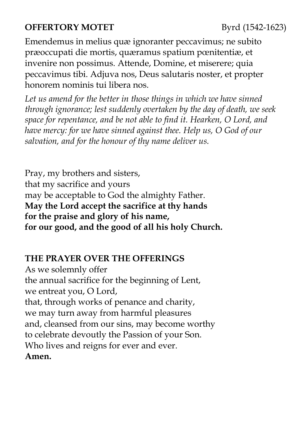#### **OFFERTORY MOTET** Byrd (1542-1623)

Emendemus in melius quæ ignoranter peccavimus; ne subito præoccupati die mortis, quæramus spatium pœnitentiæ, et invenire non possimus. Attende, Domine, et miserere; quia peccavimus tibi. Adjuva nos, Deus salutaris noster, et propter honorem nominis tui libera nos.

Let us amend for the better in those things in which we have sinned *through ignorance; lest suddenly overtaken by the day of death, we seek space for repentance, and be not able to find it. Hearken, O Lord, and have mercy: for we have sinned against thee. Help us, O God of our salvation, and for the honour of thy name deliver us.*

Pray, my brothers and sisters, that my sacrifice and yours may be acceptable to God the almighty Father. **May the Lord accept the sacrifice at thy hands for the praise and glory of his name, for our good, and the good of all his holy Church.** 

#### **THE PRAYER OVER THE OFFERINGS**

As we solemnly offer the annual sacrifice for the beginning of Lent, we entreat you, O Lord, that, through works of penance and charity, we may turn away from harmful pleasures and, cleansed from our sins, may become worthy to celebrate devoutly the Passion of your Son. Who lives and reigns for ever and ever. **Amen.**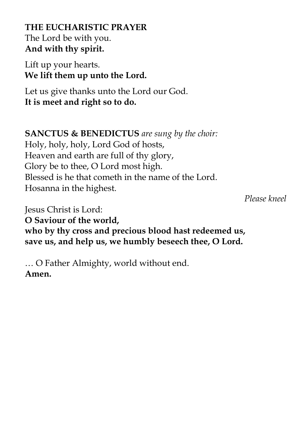**THE EUCHARISTIC PRAYER**  The Lord be with you. **And with thy spirit.** 

Lift up your hearts. **We lift them up unto the Lord.** 

Let us give thanks unto the Lord our God. **It is meet and right so to do.** 

**SANCTUS & BENEDICTUS** *are sung by the choir:* 

Holy, holy, holy, Lord God of hosts, Heaven and earth are full of thy glory, Glory be to thee, O Lord most high. Blessed is he that cometh in the name of the Lord. Hosanna in the highest.

 *Please kneel*

Jesus Christ is Lord: **O Saviour of the world, who by thy cross and precious blood hast redeemed us, save us, and help us, we humbly beseech thee, O Lord.**

… O Father Almighty, world without end. **Amen.**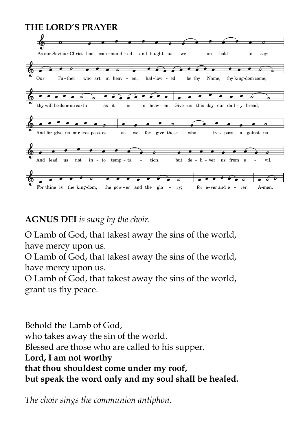#### **THE LORD'S PRAYER**



#### **AGNUS DEI** *is sung by the choir.*

O Lamb of God, that takest away the sins of the world, have mercy upon us.

O Lamb of God, that takest away the sins of the world, have mercy upon us.

O Lamb of God, that takest away the sins of the world, grant us thy peace.

Behold the Lamb of God, who takes away the sin of the world. Blessed are those who are called to his supper. **Lord, I am not worthy that thou shouldest come under my roof, but speak the word only and my soul shall be healed.**

*The choir sings the communion antiphon.*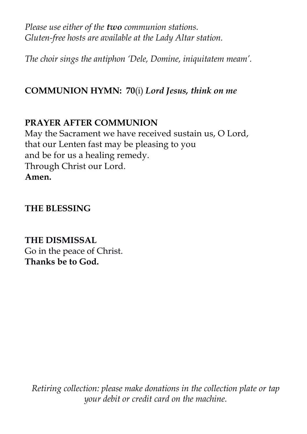*Please use either of the two communion stations. Gluten-free hosts are available at the Lady Altar station.*

*The choir sings the antiphon 'Dele, Domine, iniquitatem meam'.*

#### **COMMUNION HYMN:****70**(i) *Lord Jesus, think on me*

#### **PRAYER AFTER COMMUNION**

May the Sacrament we have received sustain us, O Lord, that our Lenten fast may be pleasing to you and be for us a healing remedy. Through Christ our Lord. **Amen.**

#### **THE BLESSING**

#### **THE DISMISSAL**

Go in the peace of Christ. **Thanks be to God.**

*Retiring collection: please make donations in the collection plate or tap your debit or credit card on the machine.*